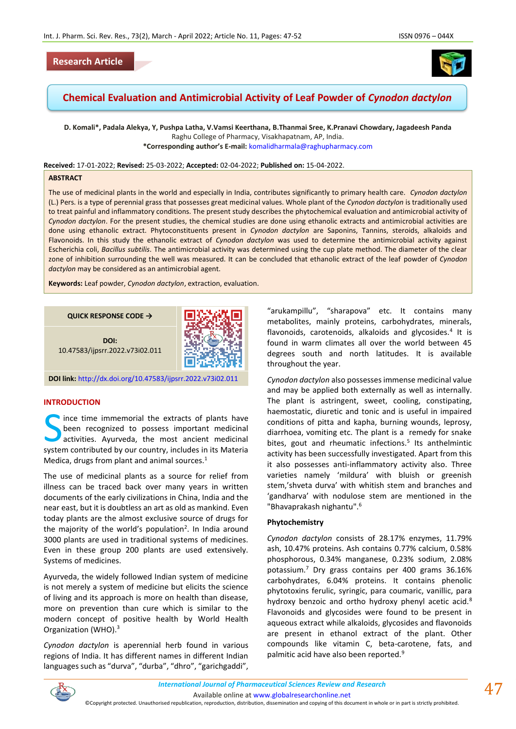# **Research Article**



# **Chemical Evaluation and Antimicrobial Activity of Leaf Powder of** *Cynodon dactylon*

**D. Komali\*, Padala Alekya, Y, Pushpa Latha, V.Vamsi Keerthana, B.Thanmai Sree, K.Pranavi Chowdary, Jagadeesh Panda** Raghu College of Pharmacy, Visakhapatnam, AP, India. **\*Corresponding author's E-mail:** [komalidharmala@raghupharmacy.com](mailto:komalidharmala@raghupharmacy.com)

**Received:** 17-01-2022; **Revised:** 25-03-2022; **Accepted:** 02-04-2022; **Published on:** 15-04-2022.

#### **ABSTRACT**

The use of medicinal plants in the world and especially in India, contributes significantly to primary health care. *Cynodon dactylon* (L.) Pers. is a type of perennial grass that possesses great medicinal values. Whole plant of the *Cynodon dactylon* is traditionally used to treat painful and inflammatory conditions. The present study describes the phytochemical evaluation and antimicrobial activity of *Cynodon dactylon*. For the present studies, the chemical studies are done using ethanolic extracts and antimicrobial activities are done using ethanolic extract. Phytoconstituents present in *Cynodon dactylon* are Saponins, Tannins, steroids, alkaloids and Flavonoids. In this study the ethanolic extract of *Cynodon dactylon* was used to determine the antimicrobial activity against Escherichia coli, *Bacillus subtilis*. The antimicrobial activity was determined using the cup plate method. The diameter of the clear zone of inhibition surrounding the well was measured. It can be concluded that ethanolic extract of the leaf powder of *Cynodon dactylon* may be considered as an antimicrobial agent.

**Keywords:** Leaf powder, *Cynodon dactylon*, extraction, evaluation.

**QUICK RESPONSE CODE →**

**DOI:** 10.47583/ijpsrr.2022.v73i02.011

**DOI link:** <http://dx.doi.org/10.47583/ijpsrr.2022.v73i02.011>

# **INTRODUCTION**

ince time immemorial the extracts of plants have been recognized to possess important medicinal activities. Ayurveda, the most ancient medicinal Since time immemorial the extracts of plants have<br>been recognized to possess important medicinal<br>activities. Ayurveda, the most ancient medicinal<br>system contributed by our country, includes in its Materia Medica, drugs from plant and animal sources. $<sup>1</sup>$ </sup>

The use of medicinal plants as a source for relief from illness can be traced back over many years in written documents of the early civilizations in China, India and the near east, but it is doubtless an art as old as mankind. Even today plants are the almost exclusive source of drugs for the majority of the world's population<sup>2</sup>. In India around 3000 plants are used in traditional systems of medicines. Even in these group 200 plants are used extensively. Systems of medicines.

Ayurveda, the widely followed Indian system of medicine is not merely a system of medicine but elicits the science of living and its approach is more on health than disease, more on prevention than cure which is similar to the modern concept of positive health by World Health Organization (WHO).<sup>3</sup>

*Cynodon dactylon* is aperennial herb found in various regions of India. It has different names in different Indian languages such as "durva", "durba", "dhro", "garichgaddi",

"arukampillu", "sharapova" etc. It contains many metabolites, mainly proteins, carbohydrates, minerals, flavonoids, carotenoids, alkaloids and glycosides.<sup>4</sup> It is found in warm climates all over the world between 45 degrees south and north latitudes. It is available throughout the year.

*Cynodon dactylon* also possesses immense medicinal value and may be applied both externally as well as internally. The plant is astringent, sweet, cooling, constipating, haemostatic, diuretic and tonic and is useful in impaired conditions of pitta and kapha, burning wounds, leprosy, diarrhoea, vomiting etc. The plant is a remedy for snake bites, gout and rheumatic infections.<sup>5</sup> Its anthelmintic activity has been successfully investigated. Apart from this it also possesses anti-inflammatory activity also. Three varieties namely 'mildura' with bluish or greenish stem,'shveta durva' with whitish stem and branches and 'gandharva' with nodulose stem are mentioned in the "Bhavaprakash nighantu".<sup>6</sup>

#### **Phytochemistry**

*Cynodon dactylon* consists of 28.17% enzymes, 11.79% ash, 10.47% proteins. Ash contains 0.77% calcium, 0.58% phosphorous, 0.34% manganese, 0.23% sodium, 2.08% potassium.<sup>7</sup> Dry grass contains per 400 grams 36.16% carbohydrates, 6.04% proteins. It contains phenolic phytotoxins ferulic, syringic, para coumaric, vanillic, para hydroxy benzoic and ortho hydroxy phenyl acetic acid.<sup>8</sup> Flavonoids and glycosides were found to be present in aqueous extract while alkaloids, glycosides and flavonoids are present in ethanol extract of the plant. Other compounds like vitamin C, beta-carotene, fats, and palmitic acid have also been reported.<sup>9</sup>

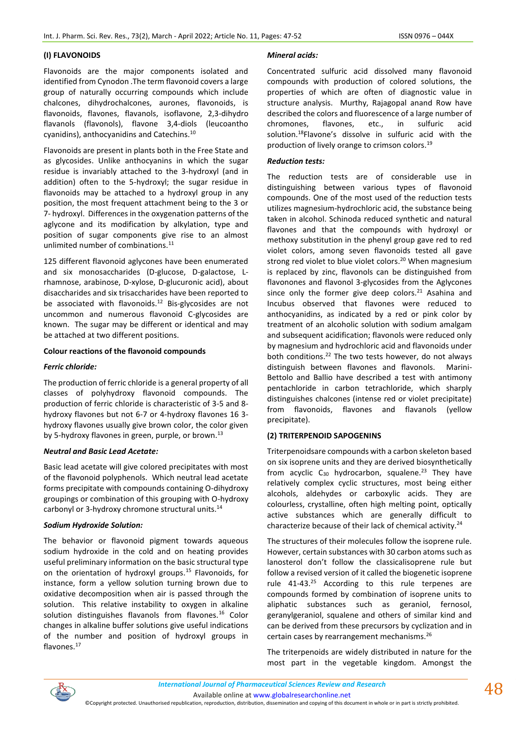# **(I) FLAVONOIDS**

Flavonoids are the major components isolated and identified from Cynodon .The term flavonoid covers a large group of naturally occurring compounds which include chalcones, dihydrochalcones, aurones, flavonoids, is flavonoids, flavones, flavanols, isoflavone, 2,3-dihydro flavanols (flavonols), flavone 3,4-diols (leucoantho cyanidins), anthocyanidins and Catechins.<sup>10</sup>

Flavonoids are present in plants both in the Free State and as glycosides. Unlike anthocyanins in which the sugar residue is invariably attached to the 3-hydroxyl (and in addition) often to the 5-hydroxyl; the sugar residue in flavonoids may be attached to a hydroxyl group in any position, the most frequent attachment being to the 3 or 7- hydroxyl. Differences in the oxygenation patterns of the aglycone and its modification by alkylation, type and position of sugar components give rise to an almost unlimited number of combinations.<sup>11</sup>

125 different flavonoid aglycones have been enumerated and six monosaccharides (D-glucose, D-galactose, Lrhamnose, arabinose, D-xylose, D-glucuronic acid), about disaccharides and six trisaccharides have been reported to be associated with flavonoids.<sup>12</sup> Bis-glycosides are not uncommon and numerous flavonoid C-glycosides are known. The sugar may be different or identical and may be attached at two different positions.

# **Colour reactions of the flavonoid compounds**

### *Ferric chloride:*

The production of ferric chloride is a general property of all classes of polyhydroxy flavonoid compounds. The production of ferric chloride is characteristic of 3-5 and 8 hydroxy flavones but not 6-7 or 4-hydroxy flavones 16 3 hydroxy flavones usually give brown color, the color given by 5-hydroxy flavones in green, purple, or brown.<sup>13</sup>

### *Neutral and Basic Lead Acetate:*

Basic lead acetate will give colored precipitates with most of the flavonoid polyphenols. Which neutral lead acetate forms precipitate with compounds containing O-dihydroxy groupings or combination of this grouping with O-hydroxy carbonyl or 3-hydroxy chromone structural units.<sup>14</sup>

### *Sodium Hydroxide Solution:*

The behavior or flavonoid pigment towards aqueous sodium hydroxide in the cold and on heating provides useful preliminary information on the basic structural type on the orientation of hydroxyl groups.<sup>15</sup> Flavonoids, for instance, form a yellow solution turning brown due to oxidative decomposition when air is passed through the solution. This relative instability to oxygen in alkaline solution distinguishes flavanols from flavones.<sup>16</sup> Color changes in alkaline buffer solutions give useful indications of the number and position of hydroxyl groups in flavones.<sup>17</sup>

# *Mineral acids:*

Concentrated sulfuric acid dissolved many flavonoid compounds with production of colored solutions, the properties of which are often of diagnostic value in structure analysis. Murthy, Rajagopal anand Row have described the colors and fluorescence of a large number of chromones, flavones, etc., in sulfuric acid solution.<sup>18</sup>Flavone's dissolve in sulfuric acid with the production of lively orange to crimson colors.<sup>19</sup>

### *Reduction tests:*

The reduction tests are of considerable use in distinguishing between various types of flavonoid compounds. One of the most used of the reduction tests utilizes magnesium-hydrochloric acid, the substance being taken in alcohol. Schinoda reduced synthetic and natural flavones and that the compounds with hydroxyl or methoxy substitution in the phenyl group gave red to red violet colors, among seven flavonoids tested all gave strong red violet to blue violet colors.<sup>20</sup> When magnesium is replaced by zinc, flavonols can be distinguished from flavonones and flavonol 3-glycosides from the Aglycones since only the former give deep colors. $21$  Asahina and Incubus observed that flavones were reduced to anthocyanidins, as indicated by a red or pink color by treatment of an alcoholic solution with sodium amalgam and subsequent acidification; flavonols were reduced only by magnesium and hydrochloric acid and flavonoids under both conditions.<sup>22</sup> The two tests however, do not always distinguish between flavones and flavonols. Marini-Bettolo and Ballio have described a test with antimony pentachloride in carbon tetrachloride, which sharply distinguishes chalcones (intense red or violet precipitate) from flavonoids, flavones and flavanols (yellow precipitate).

# **(2) TRITERPENOID SAPOGENINS**

Triterpenoidsare compounds with a carbon skeleton based on six isoprene units and they are derived biosynthetically from acyclic  $C_{30}$  hydrocarbon, squalene.<sup>23</sup> They have relatively complex cyclic structures, most being either alcohols, aldehydes or carboxylic acids. They are colourless, crystalline, often high melting point, optically active substances which are generally difficult to characterize because of their lack of chemical activity.<sup>24</sup>

The structures of their molecules follow the isoprene rule. However, certain substances with 30 carbon atoms such as lanosterol don't follow the classicalisoprene rule but follow a revised version of it called the biogenetic isoprene rule 41-43.<sup>25</sup> According to this rule terpenes are compounds formed by combination of isoprene units to aliphatic substances such as geraniol, fernosol, geranylgeraniol, squalene and others of similar kind and can be derived from these precursors by cyclization and in certain cases by rearrangement mechanisms.<sup>26</sup>

The triterpenoids are widely distributed in nature for the most part in the vegetable kingdom. Amongst the

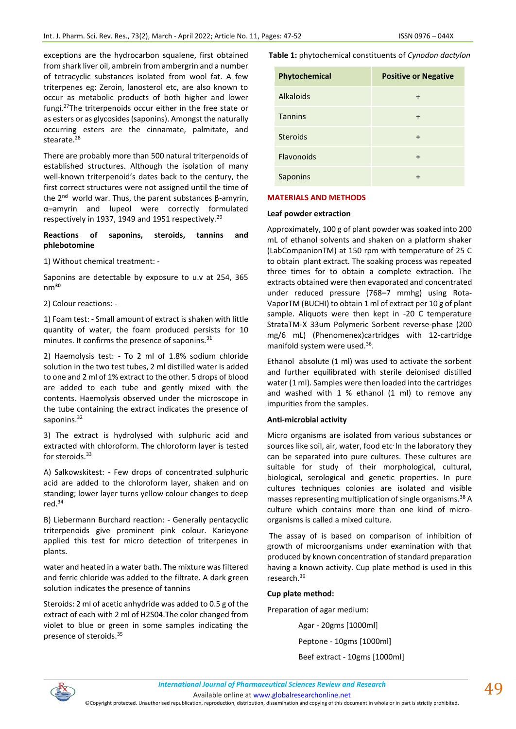exceptions are the hydrocarbon squalene, first obtained from shark liver oil, ambrein from ambergrin and a number of tetracyclic substances isolated from wool fat. A few triterpenes eg: Zeroin, lanosterol etc, are also known to occur as metabolic products of both higher and lower fungi.<sup>27</sup>The triterpenoids occur either in the free state or as esters or as glycosides (saponins). Amongst the naturally occurring esters are the cinnamate, palmitate, and stearate.<sup>28</sup>

There are probably more than 500 natural triterpenoids of established structures. Although the isolation of many well-known triterpenoid's dates back to the century, the first correct structures were not assigned until the time of the 2<sup>nd</sup> world war. Thus, the parent substances β-amyrin, α–amyrin and lupeol were correctly formulated respectively in 1937, 1949 and 1951 respectively.<sup>29</sup>

# **Reactions of saponins, steroids, tannins and phlebotomine**

1) Without chemical treatment: -

Saponins are detectable by exposure to u.v at 254, 365 nm**<sup>30</sup>**

2) Colour reactions: -

1) Foam test: - Small amount of extract is shaken with little quantity of water, the foam produced persists for 10 minutes. It confirms the presence of saponins. $31$ 

2) Haemolysis test: - To 2 ml of 1.8% sodium chloride solution in the two test tubes, 2 ml distilled water is added to one and 2 ml of 1% extract to the other. 5 drops of blood are added to each tube and gently mixed with the contents. Haemolysis observed under the microscope in the tube containing the extract indicates the presence of saponins.<sup>32</sup>

3) The extract is hydrolysed with sulphuric acid and extracted with chloroform. The chloroform layer is tested for steroids.<sup>33</sup>

A) Salkowskitest: - Few drops of concentrated sulphuric acid are added to the chloroform layer, shaken and on standing; lower layer turns yellow colour changes to deep red.<sup>34</sup>

B) Liebermann Burchard reaction: - Generally pentacyclic triterpenoids give prominent pink colour. Karioyone applied this test for micro detection of triterpenes in plants.

water and heated in a water bath. The mixture was filtered and ferric chloride was added to the filtrate. A dark green solution indicates the presence of tannins

Steroids: 2 ml of acetic anhydride was added to 0.5 g of the extract of each with 2 ml of H2S04.The color changed from violet to blue or green in some samples indicating the presence of steroids.<sup>35</sup>

**Table 1:** phytochemical constituents of *Cynodon dactylon*

| Phytochemical    | <b>Positive or Negative</b> |
|------------------|-----------------------------|
| <b>Alkaloids</b> | $\div$                      |
| <b>Tannins</b>   | $\ddot{}$                   |
| <b>Steroids</b>  | $\ddot{}$                   |
| Flavonoids       | $\ddot{}$                   |
| Saponins         |                             |

# **MATERIALS AND METHODS**

### **Leaf powder extraction**

Approximately, 100 g of plant powder was soaked into 200 mL of ethanol solvents and shaken on a platform shaker (LabCompanionTM) at 150 rpm with temperature of 25 C to obtain plant extract. The soaking process was repeated three times for to obtain a complete extraction. The extracts obtained were then evaporated and concentrated under reduced pressure (768–7 mmhg) using Rota-VaporTM (BUCHI) to obtain 1 ml of extract per 10 g of plant sample. Aliquots were then kept in -20 C temperature StrataTM-X 33um Polymeric Sorbent reverse-phase (200 mg/6 mL) (Phenomenex)cartridges with 12-cartridge manifold system were used.<sup>36</sup>.

Ethanol absolute (1 ml) was used to activate the sorbent and further equilibrated with sterile deionised distilled water (1 ml). Samples were then loaded into the cartridges and washed with 1 % ethanol (1 ml) to remove any impurities from the samples.

### **Anti-microbial activity**

Micro organisms are isolated from various substances or sources like soil, air, water, food etc. In the laboratory they can be separated into pure cultures. These cultures are suitable for study of their morphological, cultural, biological, serological and genetic properties. In pure cultures techniques colonies are isolated and visible masses representing multiplication of single organisms.<sup>38</sup> A culture which contains more than one kind of microorganisms is called a mixed culture.

The assay of is based on comparison of inhibition of growth of microorganisms under examination with that produced by known concentration of standard preparation having a known activity. Cup plate method is used in this research.<sup>39</sup>

# **Cup plate method:**

Preparation of agar medium:

Agar - 20gms [1000ml]

Peptone - 10gms [1000ml] Beef extract - 10gms [1000ml]

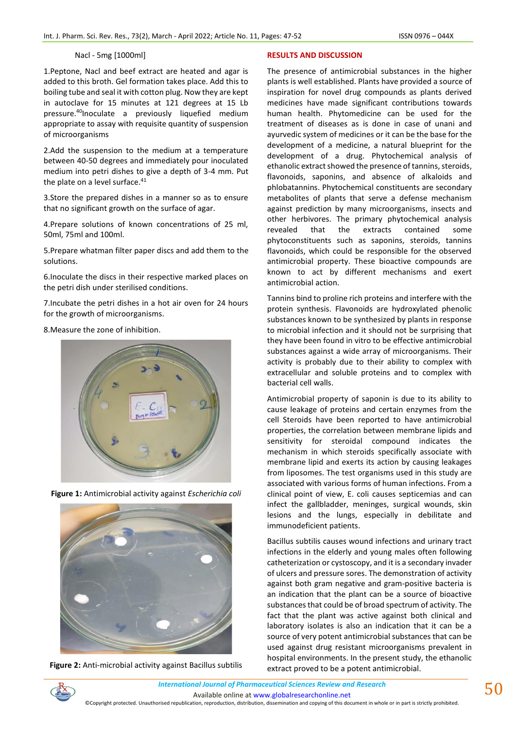# Nacl - 5mg [1000ml]

1.Peptone, Nacl and beef extract are heated and agar is added to this broth. Gel formation takes place. Add this to boiling tube and seal it with cotton plug. Now they are kept in autoclave for 15 minutes at 121 degrees at 15 Lb pressure.<sup>40</sup>Inoculate a previously liquefied medium appropriate to assay with requisite quantity of suspension of microorganisms

2.Add the suspension to the medium at a temperature between 40-50 degrees and immediately pour inoculated medium into petri dishes to give a depth of 3-4 mm. Put the plate on a level surface.<sup>41</sup>

3.Store the prepared dishes in a manner so as to ensure that no significant growth on the surface of agar.

4.Prepare solutions of known concentrations of 25 ml, 50ml, 75ml and 100ml.

5.Prepare whatman filter paper discs and add them to the solutions.

6.Inoculate the discs in their respective marked places on the petri dish under sterilised conditions.

7.Incubate the petri dishes in a hot air oven for 24 hours for the growth of microorganisms.

8.Measure the zone of inhibition.

**Figure 1:** Antimicrobial activity against *Escherichia coli*



**Figure 2:** Anti-microbial activity against Bacillus subtilis

### **RESULTS AND DISCUSSION**

The presence of antimicrobial substances in the higher plants is well established. Plants have provided a source of inspiration for novel drug compounds as plants derived medicines have made significant contributions towards human health. Phytomedicine can be used for the treatment of diseases as is done in case of unani and ayurvedic system of medicines or it can be the base for the development of a medicine, a natural blueprint for the development of a drug. Phytochemical analysis of ethanolic extract showed the presence of tannins, steroids, flavonoids, saponins, and absence of alkaloids and phlobatannins. Phytochemical constituents are secondary metabolites of plants that serve a defense mechanism against prediction by many microorganisms, insects and other herbivores. The primary phytochemical analysis revealed that the extracts contained some phytoconstituents such as saponins, steroids, tannins flavonoids, which could be responsible for the observed antimicrobial property. These bioactive compounds are known to act by different mechanisms and exert antimicrobial action.

Tannins bind to proline rich proteins and interfere with the protein synthesis. Flavonoids are hydroxylated phenolic substances known to be synthesized by plants in response to microbial infection and it should not be surprising that they have been found in vitro to be effective antimicrobial substances against a wide array of microorganisms. Their activity is probably due to their ability to complex with extracellular and soluble proteins and to complex with bacterial cell walls.

Antimicrobial property of saponin is due to its ability to cause leakage of proteins and certain enzymes from the cell Steroids have been reported to have antimicrobial properties, the correlation between membrane lipids and sensitivity for steroidal compound indicates the mechanism in which steroids specifically associate with membrane lipid and exerts its action by causing leakages from liposomes. The test organisms used in this study are associated with various forms of human infections. From a clinical point of view, E. coli causes septicemias and can infect the gallbladder, meninges, surgical wounds, skin lesions and the lungs, especially in debilitate and immunodeficient patients.

Bacillus subtilis causes wound infections and urinary tract infections in the elderly and young males often following catheterization or cystoscopy, and it is a secondary invader of ulcers and pressure sores. The demonstration of activity against both gram negative and gram-positive bacteria is an indication that the plant can be a source of bioactive substances that could be of broad spectrum of activity. The fact that the plant was active against both clinical and laboratory isolates is also an indication that it can be a source of very potent antimicrobial substances that can be used against drug resistant microorganisms prevalent in hospital environments. In the present study, the ethanolic extract proved to be a potent antimicrobial.





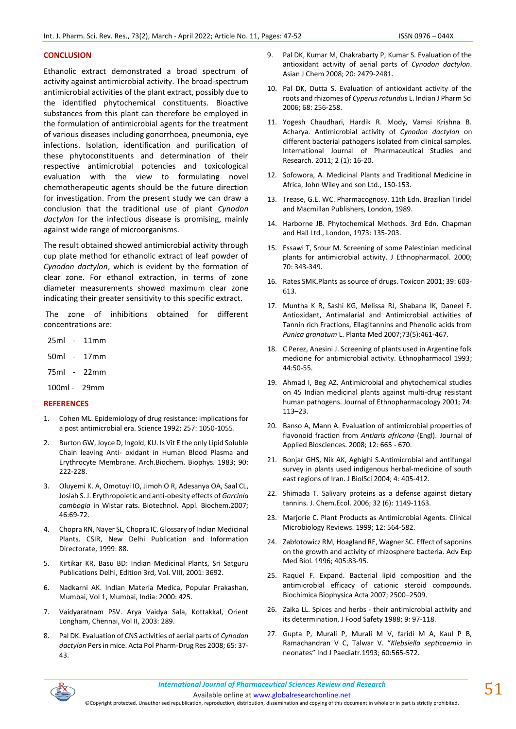### **CONCLUSION**

Ethanolic extract demonstrated a broad spectrum of activity against antimicrobial activity. The broad-spectrum antimicrobial activities of the plant extract, possibly due to the identified phytochemical constituents. Bioactive substances from this plant can therefore be employed in the formulation of antimicrobial agents for the treatment of various diseases including gonorrhoea, pneumonia, eye infections. Isolation, identification and purification of these phytoconstituents and determination of their respective antimicrobial potencies and toxicological evaluation with the view to formulating novel chemotherapeutic agents should be the future direction for investigation. From the present study we can draw a conclusion that the traditional use of plant *Cynodon dactylon* for the infectious disease is promising, mainly against wide range of microorganisms.

The result obtained showed antimicrobial activity through cup plate method for ethanolic extract of leaf powder of *Cynodon dactylon*, which is evident by the formation of clear zone. For ethanol extraction, in terms of zone diameter measurements showed maximum clear zone indicating their greater sensitivity to this specific extract.

The zone of inhibitions obtained for different concentrations are:

- 25ml 11mm
- 50ml 17mm
- 75ml 22mm
- 100ml 29mm

# **REFERENCES**

- 1. Cohen ML. Epidemiology of drug resistance: implications for a post antimicrobial era. Science 1992; 257: 1050-1055.
- 2. Burton GW, Joyce D, Ingold, KU. Is Vit E the only Lipid Soluble Chain leaving Anti- oxidant in Human Blood Plasma and Erythrocyte Membrane. Arch.Biochem. Biophys. 1983; 90: 222-228.
- 3. Oluyemi K. A, Omotuyi IO, Jimoh O R, Adesanya OA, Saal CL, Josiah S. J. Erythropoietic and anti-obesity effects of *Garcinia cambogia* in Wistar rats. Biotechnol. Appl. Biochem.2007; 46:69-72.
- 4. Chopra RN, Nayer SL, Chopra IC. Glossary of Indian Medicinal Plants. CSIR, New Delhi Publication and Information Directorate, 1999: 88.
- 5. Kirtikar KR, Basu BD: Indian Medicinal Plants, Sri Satguru Publications Delhi, Edition 3rd, Vol. VIII, 2001: 3692.
- 6. Nadkarni AK. Indian Materia Medica, Popular Prakashan, Mumbai, Vol 1, Mumbai, India: 2000: 425.
- 7. Vaidyaratnam PSV. Arya Vaidya Sala, Kottakkal, Orient Longham, Chennai, Vol II, 2003: 289.
- 8. Pal DK. Evaluation of CNS activities of aerial parts of *Cynodon dactylon* Pers in mice. Acta Pol Pharm-Drug Res 2008; 65: 37- 43.
- 9. Pal DK, Kumar M, Chakrabarty P, Kumar S. Evaluation of the antioxidant activity of aerial parts of *Cynodon dactylon*. Asian J Chem 2008; 20: 2479-2481.
- 10. Pal DK, Dutta S. Evaluation of antioxidant activity of the roots and rhizomes of *Cyperus rotundus* L. Indian J Pharm Sci 2006; 68: 256-258.
- 11. Yogesh Chaudhari, Hardik R. Mody, Vamsi Krishna B. Acharya. Antimicrobial activity of *Cynodon dactylon* on different bacterial pathogens isolated from clinical samples. International Journal of Pharmaceutical Studies and Research. 2011; 2 (1): 16-20.
- 12. Sofowora, A. Medicinal Plants and Traditional Medicine in Africa, John Wiley and son Ltd., 150-153.
- 13. Trease, G.E. WC. Pharmacognosy. 11th Edn. Brazilian Tiridel and Macmillan Publishers, London, 1989.
- 14. Harborne JB. Phytochemical Methods. 3rd Edn. Chapman and Hall Ltd., London, 1973: 135-203.
- 15. Essawi T, Srour M. Screening of some Palestinian medicinal plants for antimicrobial activity. J Ethnopharmacol. 2000; 70: 343-349.
- 16. Rates SMK**.**Plants as source of drugs. Toxicon 2001; 39: 603- 613.
- 17. Muntha K R, Sashi KG, Melissa RJ, Shabana IK, Daneel F. Antioxidant, Antimalarial and Antimicrobial activities of Tannin rich Fractions, Ellagitannins and Phenolic acids from *Punica granatum* L. Planta Med 2007;73(5):461-467.
- 18. C Perez, Anesini J. Screening of plants used in Argentine folk medicine for antimicrobial activity. Ethnopharmacol 1993; 44:50-55.
- 19. Ahmad I, Beg AZ. Antimicrobial and phytochemical studies on 45 Indian medicinal plants against multi-drug resistant human pathogens. Journal of Ethnopharmacology 2001; 74: 113–23.
- 20. Banso A, Mann A. Evaluation of antimicrobial properties of flavonoid fraction from *Antiaris africana* (Engl). Journal of Applied Biosciences. 2008; 12: 665 - 670.
- 21. Bonjar GHS, Nik AK, Aghighi S.Antimicrobial and antifungal survey in plants used indigenous herbal-medicine of south east regions of Iran. J BiolSci 2004; 4: 405-412.
- 22. Shimada T. Salivary proteins as a defense against dietary tannins. J. Chem.Ecol. 2006; 32 (6): 1149-1163.
- 23. Marjorie C. Plant Products as Antimicrobial Agents. Clinical Microbiology Reviews. 1999; 12: 564-582.
- 24. Zabłotowicz RM, Hoagland RE, Wagner SC. Effect of saponins on the growth and activity of rhizosphere bacteria. Adv Exp Med Biol. 1996; 405:83-95.
- 25. Raquel F. Expand. Bacterial lipid composition and the antimicrobial efficacy of cationic steroid compounds. Biochimica Biophysica Acta 2007; 2500–2509.
- 26. Zaika LL. Spices and herbs their antimicrobial activity and its determination. J Food Safety 1988; 9: 97-118.
- 27. Gupta P, Murali P, Murali M V, faridi M A, Kaul P B, Ramachandran V C, Talwar V. "*Klebsiella septicaemia* in neonates" Ind J Paediatr.1993; 60:565-572.